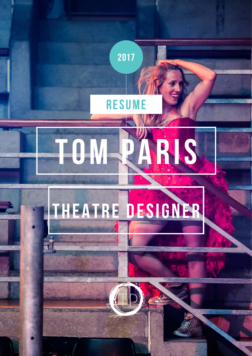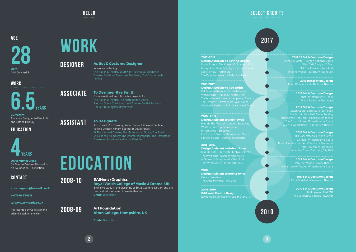**HELLO** ...........

**AGE** 

**6.5years**

#### **WORK**



### **EDUCATION**

**University courses:** BA Theatre Design - Distinction Art Foundation - Distinction

**28 Born:**

**Currently:** Associate Designer to Rae Smith and Katrina Lindsay

20th July 1988

**2**

### **CONTACT**

**e: tomwparis@hotmail.co.uk**

**t: 07990 930328**

**w: www.tomparis.co.uk**

Represented by Cole Kitchenn adam@colekitchenn.com

## **EDUCATION**

**2008-10**

**2008-09**

#### **BA(Hons) Graphics**

On international and UK design projects for: The National Theatre, The Metropolitan Opera, Scottish Opera, The Hampstead Theatre, English National Opera & Birmingham Royal Ballet

**Royal Welsh College of Music & Drama, UK**  Extensive study in the disciplins of Set & Costume Design, and the practical skills required to create theatre.

**Grade:** Distinction

#### **Art Foundation Alton College, Hampshire, UK**

**Grade:** Distinction

### **DESIGNER**

**ASSOCIATE**

**ASSISTANT**

#### **As Set & Costume Designer**

**2014 Set & Costume Design** The Secret Life - Sixth Sense Touring Alice in Wonderland - Greenwich Theatre

In venues including: The National Theatre, Southwark Playhouse, Greenwich Theatre, Salisbury Playhouse, The Lowry, The Edinborough Festival.

#### **To Designer Rae Smith**

**2011 Set & Costume Design** Mack & Mabel - Greenwich Theatre

#### **To Designers:**

**Design Associate to Rae Smith** Pelléas et Mélisande - Scottish Opera Wonder.land - National Theatre / MIF The Moderate Soprano - Hampstead Theatre The Tempest - Birmingham Royal Ballet Cavelleria Rusticana & Pagliacci - Met Ope

Rob Howell, Bob Crowley, Robert Jones, Hildegard Bechtler, Katrina Lindsay, Miriam Buether & David Farley. At The National Theatre, The Metropolitan Opera, The Royal Shakespeare Company, The Donmar Warehouse, The Hampstead Theatre on Broadway and in the West End.

# **Work**



**2017**

**2010**

 $\blacksquare$ 

**2016 Installation Design** Enter Wonder.Land - National Theatre

**2008-2010 BA(Hons) Theatre Design** Royal Welsh College of Music & Drama, UK

**Design Associate to Katrina Lindsay** Harry Potter & The Cursed Child - West End Mosquitoes & My Country - National Theatre

**2015 Set & Costume Design**

**2013 Set & Costume Design** His Dark Materials - Sixth Sense Alice - Salisbury Playhouse

**2012 Set & Costume Design** The Marriage of Figaro - Winterbourne Opera

> **2010 Set & Costume Design** Hello Again - RWCMD The London Cuckholds - RWCMD

#### **2013-2017**

#### **2010 - 2014**

**Design Assistant to Rob Howell** Matilda The Musical - London/Broadway Werther - Metropolitan Opera

#### **2011 - 2012**

**Design Assistant to Robert Jones** Kiss Me Kate - Chichester Festival/Old Vic The Physicists - Donmar Warehouse A Chorus of Disapproval - West End The Wizard of Oz - Toronto/US Tour

#### **2010**

**Design Assistant to Bob Crowley** Once - Broadway

#### **2015 -2017**

**2017-18 Set & Costume Design**

Hansel & Gretel - Bergen National Opera West Side Story - UK Tour '13' The Musical - West End